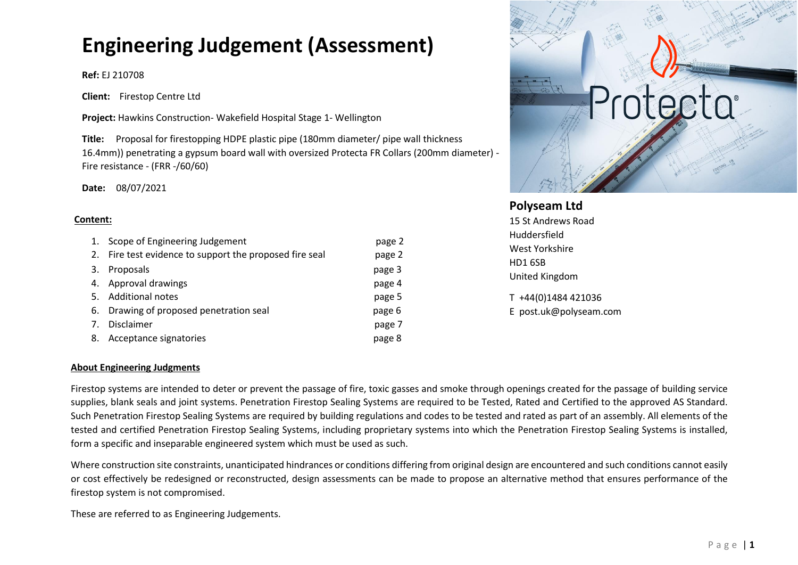# **Engineering Judgement (Assessment)**

## **Ref:** EJ 210708

**Client:** Firestop Centre Ltd

**Project:** Hawkins Construction- Wakefield Hospital Stage 1- Wellington

**Title:** Proposal for firestopping HDPE plastic pipe (180mm diameter/ pipe wall thickness 16.4mm)) penetrating a gypsum board wall with oversized Protecta FR Collars (200mm diameter) - Fire resistance - (FRR -/60/60)

**Date:** 08/07/2021

#### **Content:**

| 1. | Scope of Engineering Judgement                          | page 2 |
|----|---------------------------------------------------------|--------|
|    | 2. Fire test evidence to support the proposed fire seal | page 2 |
| 3. | Proposals                                               | page 3 |
| 4. | Approval drawings                                       | page 4 |
| 5. | Additional notes                                        | page 5 |
| 6. | Drawing of proposed penetration seal                    | page 6 |
| 7. | Disclaimer                                              | page 7 |
| 8. | Acceptance signatories                                  | page 8 |



# **Polyseam Ltd**

15 St Andrews Road Huddersfield West Yorkshire HD1 6SB United Kingdom

T +44(0)1484 421036 E post.uk@polyseam.com

## **About Engineering Judgments**

Firestop systems are intended to deter or prevent the passage of fire, toxic gasses and smoke through openings created for the passage of building service supplies, blank seals and joint systems. Penetration Firestop Sealing Systems are required to be Tested, Rated and Certified to the approved AS Standard. Such Penetration Firestop Sealing Systems are required by building regulations and codes to be tested and rated as part of an assembly. All elements of the tested and certified Penetration Firestop Sealing Systems, including proprietary systems into which the Penetration Firestop Sealing Systems is installed, form a specific and inseparable engineered system which must be used as such.

Where construction site constraints, unanticipated hindrances or conditions differing from original design are encountered and such conditions cannot easily or cost effectively be redesigned or reconstructed, design assessments can be made to propose an alternative method that ensures performance of the firestop system is not compromised.

These are referred to as Engineering Judgements.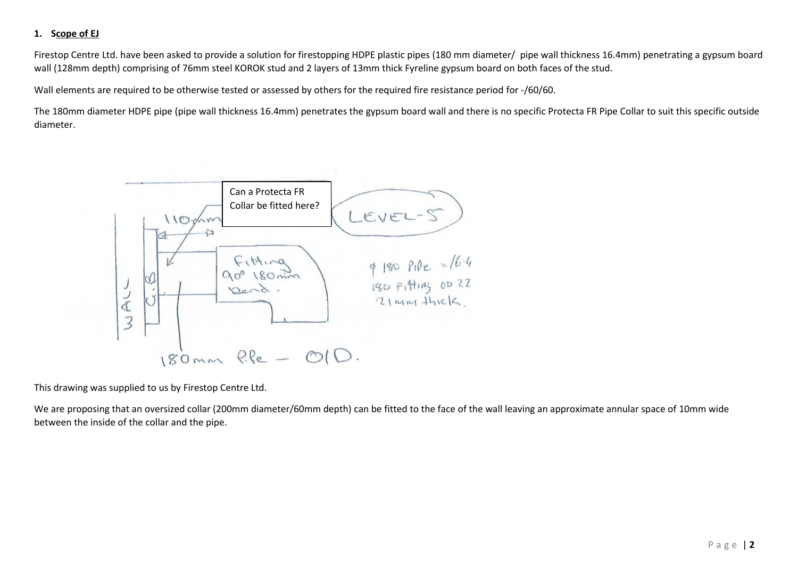# **1. Scope of EJ**

Firestop Centre Ltd. have been asked to provide a solution for firestopping HDPE plastic pipes (180 mm diameter/ pipe wall thickness 16.4mm) penetrating a gypsum board wall (128mm depth) comprising of 76mm steel KOROK stud and 2 layers of 13mm thick Fyreline gypsum board on both faces of the stud.

Wall elements are required to be otherwise tested or assessed by others for the required fire resistance period for -/60/60.

The 180mm diameter HDPE pipe (pipe wall thickness 16.4mm) penetrates the gypsum board wall and there is no specific Protecta FR Pipe Collar to suit this specific outside diameter.



This drawing was supplied to us by Firestop Centre Ltd.

We are proposing that an oversized collar (200mm diameter/60mm depth) can be fitted to the face of the wall leaving an approximate annular space of 10mm wide between the inside of the collar and the pipe.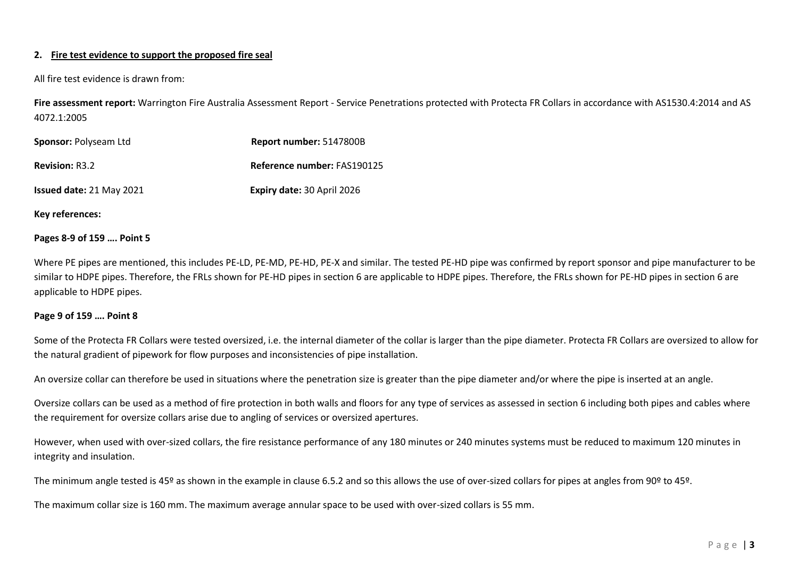## **2. Fire test evidence to support the proposed fire seal**

All fire test evidence is drawn from:

**Fire assessment report:** Warrington Fire Australia Assessment Report - Service Penetrations protected with Protecta FR Collars in accordance with AS1530.4:2014 and AS 4072.1:2005

| Sponsor: Polyseam Ltd           | Report number: 5147800B           |
|---------------------------------|-----------------------------------|
| <b>Revision: R3.2</b>           | Reference number: FAS190125       |
| <b>Issued date: 21 May 2021</b> | <b>Expiry date: 30 April 2026</b> |

**Key references:**

#### **Pages 8-9 of 159 …. Point 5**

Where PE pipes are mentioned, this includes PE-LD, PE-MD, PE-HD, PE-X and similar. The tested PE-HD pipe was confirmed by report sponsor and pipe manufacturer to be similar to HDPE pipes. Therefore, the FRLs shown for PE-HD pipes in section 6 are applicable to HDPE pipes. Therefore, the FRLs shown for PE-HD pipes in section 6 are applicable to HDPE pipes.

#### **Page 9 of 159 …. Point 8**

Some of the Protecta FR Collars were tested oversized, i.e. the internal diameter of the collar is larger than the pipe diameter. Protecta FR Collars are oversized to allow for the natural gradient of pipework for flow purposes and inconsistencies of pipe installation.

An oversize collar can therefore be used in situations where the penetration size is greater than the pipe diameter and/or where the pipe is inserted at an angle.

Oversize collars can be used as a method of fire protection in both walls and floors for any type of services as assessed in section 6 including both pipes and cables where the requirement for oversize collars arise due to angling of services or oversized apertures.

However, when used with over-sized collars, the fire resistance performance of any 180 minutes or 240 minutes systems must be reduced to maximum 120 minutes in integrity and insulation.

The minimum angle tested is 45º as shown in the example in clause 6.5.2 and so this allows the use of over-sized collars for pipes at angles from 90° to 45°.

The maximum collar size is 160 mm. The maximum average annular space to be used with over-sized collars is 55 mm.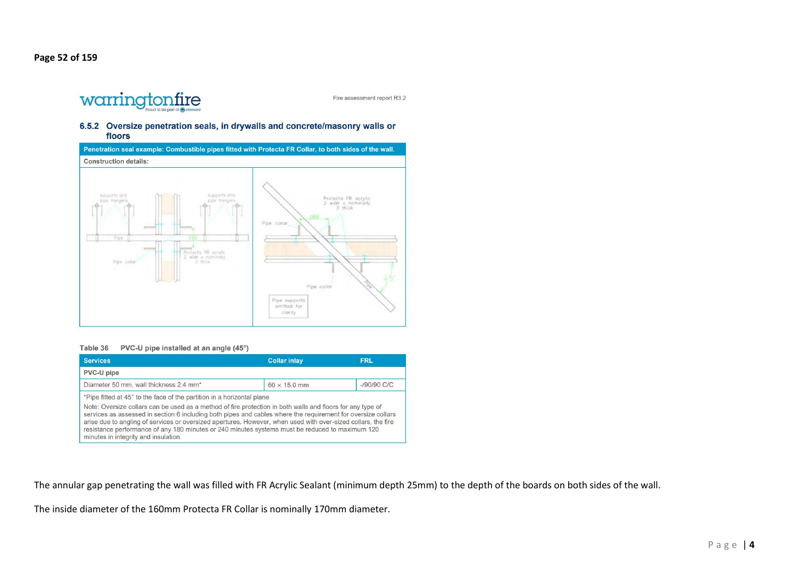

Fire assessment report R3.2

#### 6.5.2 Oversize penetration seals, in drywalls and concrete/masonry walls or floors



Table 36 PVC-U pipe installed at an angle (45°)

| <b>Services</b>                                                                                                                                                                                                                                                                                                                                                                                                                                                                                                                                                  | <b>Collar inlay</b> | <b>FRL</b>     |
|------------------------------------------------------------------------------------------------------------------------------------------------------------------------------------------------------------------------------------------------------------------------------------------------------------------------------------------------------------------------------------------------------------------------------------------------------------------------------------------------------------------------------------------------------------------|---------------------|----------------|
| <b>PVC-U pipe</b>                                                                                                                                                                                                                                                                                                                                                                                                                                                                                                                                                |                     |                |
| Diameter 50 mm, wall thickness 2.4 mm*                                                                                                                                                                                                                                                                                                                                                                                                                                                                                                                           | $60 \times 15.0$ mm | $-$ /90/90 C/C |
| *Pipe fitted at 45° to the face of the partition in a horizontal plane<br>Note: Oversize collars can be used as a method of fire protection in both walls and floors for any type of<br>services as assessed in section 6 including both pipes and cables where the requirement for oversize collars<br>arise due to angling of services or oversized apertures. However, when used with over-sized collars, the fire<br>resistance performance of any 180 minutes or 240 minutes systems must be reduced to maximum 120<br>minutes in integrity and insulation. |                     |                |

The annular gap penetrating the wall was filled with FR Acrylic Sealant (minimum depth 25mm) to the depth of the boards on both sides of the wall.

The inside diameter of the 160mm Protecta FR Collar is nominally 170mm diameter.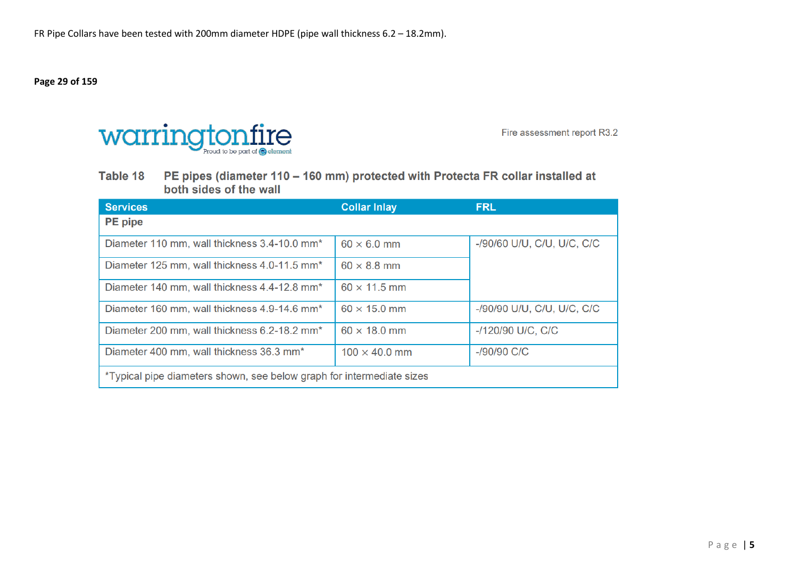**Page 29 of 159** 



Fire assessment report R3.2

Table 18 PE pipes (diameter 110 - 160 mm) protected with Protecta FR collar installed at both sides of the wall

| <b>Services</b>                                                       | <b>Collar Inlay</b>  | <b>FRL</b>                 |  |
|-----------------------------------------------------------------------|----------------------|----------------------------|--|
| <b>PE</b> pipe                                                        |                      |                            |  |
| Diameter 110 mm, wall thickness 3.4-10.0 mm <sup>*</sup>              | $60 \times 6.0$ mm   | -/90/60 U/U, C/U, U/C, C/C |  |
| Diameter 125 mm, wall thickness 4.0-11.5 mm <sup>*</sup>              | $60 \times 8.8$ mm   |                            |  |
| Diameter 140 mm, wall thickness 4.4-12.8 mm <sup>*</sup>              | $60 \times 11.5$ mm  |                            |  |
| Diameter 160 mm, wall thickness 4.9-14.6 mm <sup>*</sup>              | $60 \times 15.0$ mm  | -/90/90 U/U, C/U, U/C, C/C |  |
| Diameter 200 mm, wall thickness 6.2-18.2 mm <sup>*</sup>              | $60 \times 18.0$ mm  | -/120/90 U/C, C/C          |  |
| Diameter 400 mm, wall thickness 36.3 mm <sup>*</sup>                  | $100 \times 40.0$ mm | -/90/90 C/C                |  |
| *Typical pipe diameters shown, see below graph for intermediate sizes |                      |                            |  |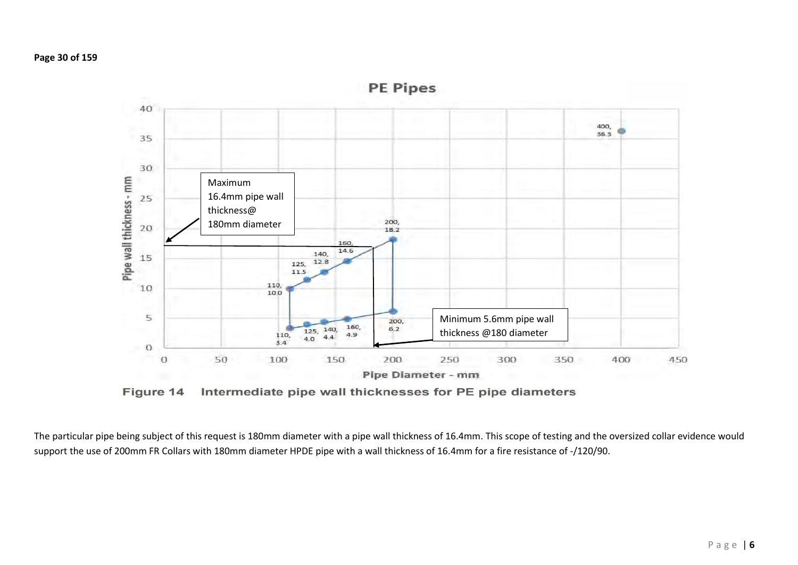

Figure 14 Intermediate pipe wall thicknesses for PE pipe diameters

The particular pipe being subject of this request is 180mm diameter with a pipe wall thickness of 16.4mm. This scope of testing and the oversized collar evidence would support the use of 200mm FR Collars with 180mm diameter HPDE pipe with a wall thickness of 16.4mm for a fire resistance of -/120/90.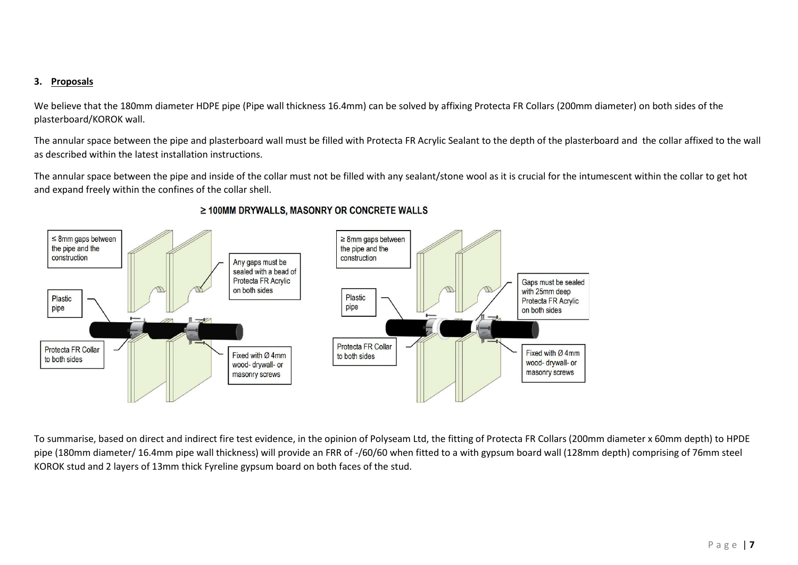## **3. Proposals**

We believe that the 180mm diameter HDPE pipe (Pipe wall thickness 16.4mm) can be solved by affixing Protecta FR Collars (200mm diameter) on both sides of the plasterboard/KOROK wall.

The annular space between the pipe and plasterboard wall must be filled with Protecta FR Acrylic Sealant to the depth of the plasterboard and the collar affixed to the wall as described within the latest installation instructions.

The annular space between the pipe and inside of the collar must not be filled with any sealant/stone wool as it is crucial for the intumescent within the collar to get hot and expand freely within the confines of the collar shell.



## ≥ 100MM DRYWALLS, MASONRY OR CONCRETE WALLS

To summarise, based on direct and indirect fire test evidence, in the opinion of Polyseam Ltd, the fitting of Protecta FR Collars (200mm diameter x 60mm depth) to HPDE pipe (180mm diameter/ 16.4mm pipe wall thickness) will provide an FRR of -/60/60 when fitted to a with gypsum board wall (128mm depth) comprising of 76mm steel KOROK stud and 2 layers of 13mm thick Fyreline gypsum board on both faces of the stud.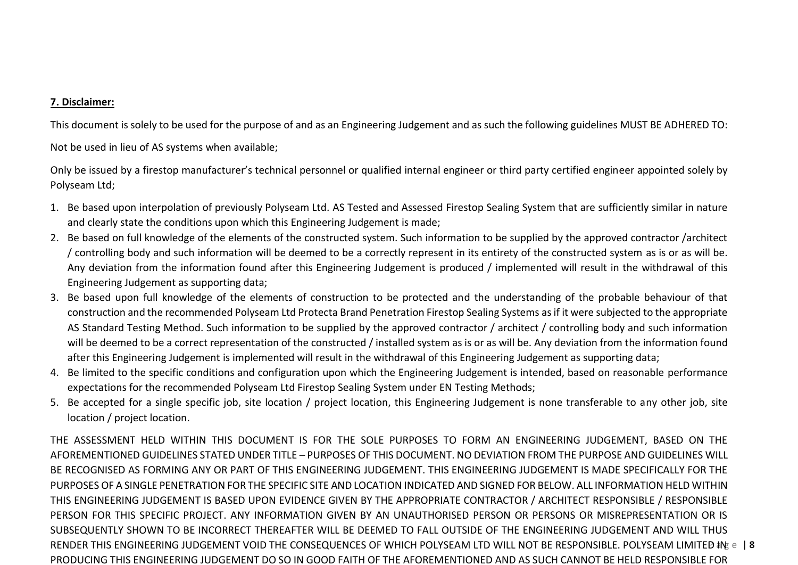# **7. Disclaimer:**

This document is solely to be used for the purpose of and as an Engineering Judgement and as such the following guidelines MUST BE ADHERED TO:

Not be used in lieu of AS systems when available;

Only be issued by a firestop manufacturer's technical personnel or qualified internal engineer or third party certified engineer appointed solely by Polyseam Ltd;

- 1. Be based upon interpolation of previously Polyseam Ltd. AS Tested and Assessed Firestop Sealing System that are sufficiently similar in nature and clearly state the conditions upon which this Engineering Judgement is made;
- 2. Be based on full knowledge of the elements of the constructed system. Such information to be supplied by the approved contractor /architect / controlling body and such information will be deemed to be a correctly represent in its entirety of the constructed system as is or as will be. Any deviation from the information found after this Engineering Judgement is produced / implemented will result in the withdrawal of this Engineering Judgement as supporting data;
- 3. Be based upon full knowledge of the elements of construction to be protected and the understanding of the probable behaviour of that construction and the recommended Polyseam Ltd Protecta Brand Penetration Firestop Sealing Systems as if it were subjected to the appropriate AS Standard Testing Method. Such information to be supplied by the approved contractor / architect / controlling body and such information will be deemed to be a correct representation of the constructed / installed system as is or as will be. Any deviation from the information found after this Engineering Judgement is implemented will result in the withdrawal of this Engineering Judgement as supporting data;
- 4. Be limited to the specific conditions and configuration upon which the Engineering Judgement is intended, based on reasonable performance expectations for the recommended Polyseam Ltd Firestop Sealing System under EN Testing Methods;
- 5. Be accepted for a single specific job, site location / project location, this Engineering Judgement is none transferable to any other job, site location / project location.

RENDER THIS ENGINEERING JUDGEMENT VOID THE CONSEQUENCES OF WHICH POLYSEAM LTD WILL NOT BE RESPONSIBLE. POLYSEAM LIMITED \$N& e 18 THE ASSESSMENT HELD WITHIN THIS DOCUMENT IS FOR THE SOLE PURPOSES TO FORM AN ENGINEERING JUDGEMENT, BASED ON THE AFOREMENTIONED GUIDELINES STATED UNDER TITLE – PURPOSES OF THIS DOCUMENT. NO DEVIATION FROM THE PURPOSE AND GUIDELINES WILL BE RECOGNISED AS FORMING ANY OR PART OF THIS ENGINEERING JUDGEMENT. THIS ENGINEERING JUDGEMENT IS MADE SPECIFICALLY FOR THE PURPOSES OF A SINGLE PENETRATION FOR THE SPECIFIC SITE AND LOCATION INDICATED AND SIGNED FOR BELOW. ALL INFORMATION HELD WITHIN THIS ENGINEERING JUDGEMENT IS BASED UPON EVIDENCE GIVEN BY THE APPROPRIATE CONTRACTOR / ARCHITECT RESPONSIBLE / RESPONSIBLE PERSON FOR THIS SPECIFIC PROJECT. ANY INFORMATION GIVEN BY AN UNAUTHORISED PERSON OR PERSONS OR MISREPRESENTATION OR IS SUBSEQUENTLY SHOWN TO BE INCORRECT THEREAFTER WILL BE DEEMED TO FALL OUTSIDE OF THE ENGINEERING JUDGEMENT AND WILL THUS PRODUCING THIS ENGINEERING JUDGEMENT DO SO IN GOOD FAITH OF THE AFOREMENTIONED AND AS SUCH CANNOT BE HELD RESPONSIBLE FOR